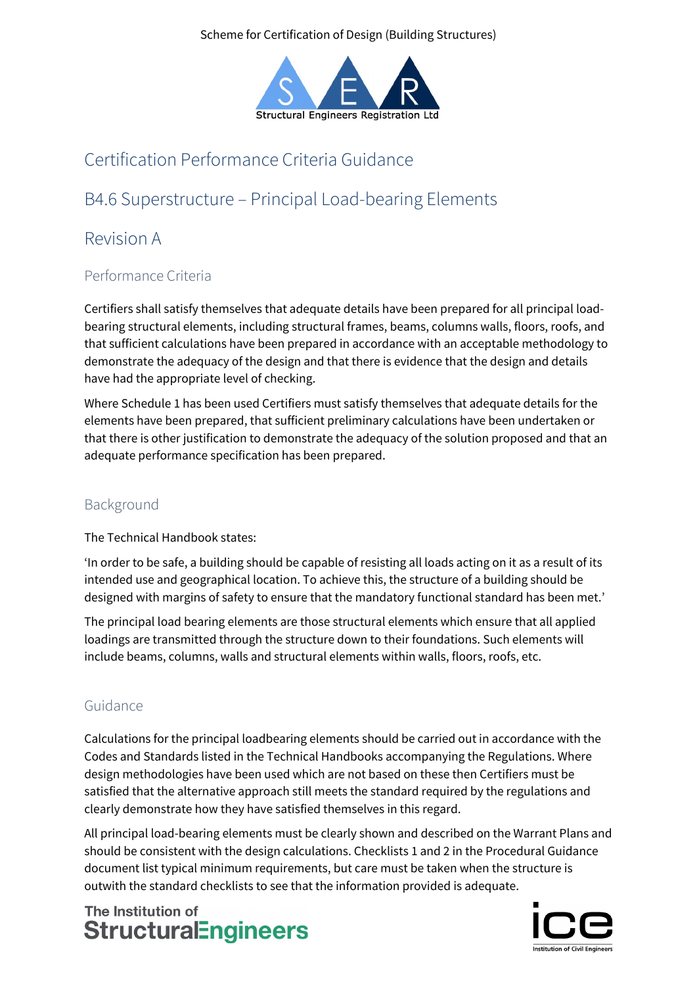Scheme for Certification of Design (Building Structures)



# Certification Performance Criteria Guidance

# B4.6 Superstructure – Principal Load-bearing Elements

## Revision A

### Performance Criteria

Certifiers shall satisfy themselves that adequate details have been prepared for all principal loadbearing structural elements, including structural frames, beams, columns walls, floors, roofs, and that sufficient calculations have been prepared in accordance with an acceptable methodology to demonstrate the adequacy of the design and that there is evidence that the design and details have had the appropriate level of checking.

Where Schedule 1 has been used Certifiers must satisfy themselves that adequate details for the elements have been prepared, that sufficient preliminary calculations have been undertaken or that there is other justification to demonstrate the adequacy of the solution proposed and that an adequate performance specification has been prepared.

### Background

The Technical Handbook states:

'In order to be safe, a building should be capable of resisting all loads acting on it as a result of its intended use and geographical location. To achieve this, the structure of a building should be designed with margins of safety to ensure that the mandatory functional standard has been met.'

The principal load bearing elements are those structural elements which ensure that all applied loadings are transmitted through the structure down to their foundations. Such elements will include beams, columns, walls and structural elements within walls, floors, roofs, etc.

### Guidance

Calculations for the principal loadbearing elements should be carried out in accordance with the Codes and Standards listed in the Technical Handbooks accompanying the Regulations. Where design methodologies have been used which are not based on these then Certifiers must be satisfied that the alternative approach still meets the standard required by the regulations and clearly demonstrate how they have satisfied themselves in this regard.

All principal load-bearing elements must be clearly shown and described on the Warrant Plans and should be consistent with the design calculations. Checklists 1 and 2 in the Procedural Guidance document list typical minimum requirements, but care must be taken when the structure is outwith the standard checklists to see that the information provided is adequate.

## The Institution of **StructuralEngineers**

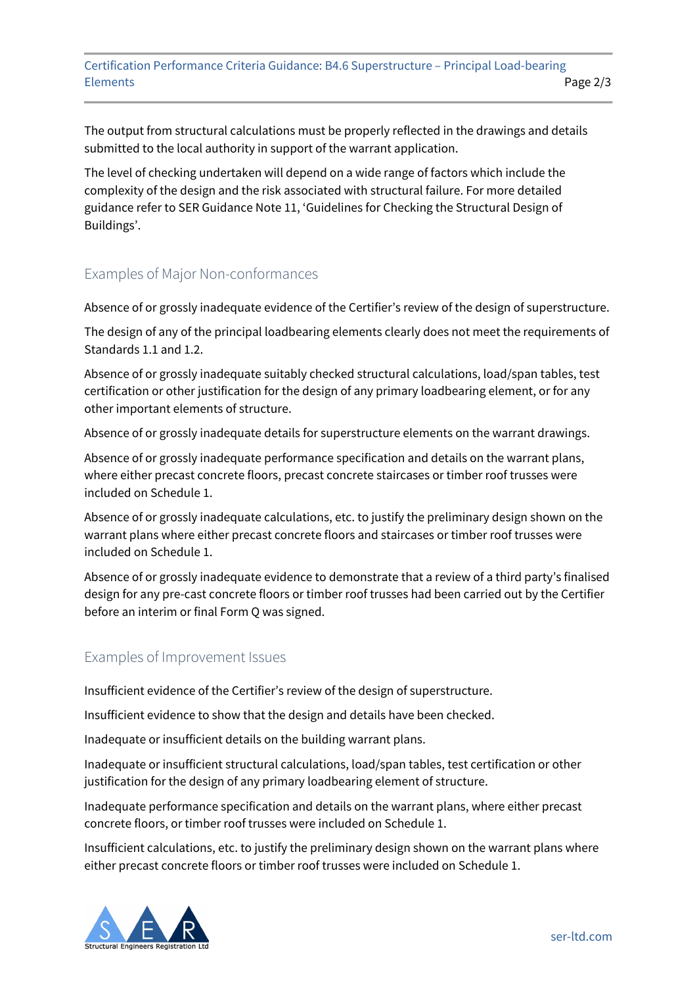Certification Performance Criteria Guidance: B4.6 Superstructure – Principal Load-bearing Elements Page 2/3

The output from structural calculations must be properly reflected in the drawings and details submitted to the local authority in support of the warrant application.

The level of checking undertaken will depend on a wide range of factors which include the complexity of the design and the risk associated with structural failure. For more detailed guidance refer to SER Guidance Note 11, 'Guidelines for Checking the Structural Design of Buildings'.

#### Examples of Major Non-conformances

Absence of or grossly inadequate evidence of the Certifier's review of the design of superstructure.

The design of any of the principal loadbearing elements clearly does not meet the requirements of Standards 1.1 and 1.2.

Absence of or grossly inadequate suitably checked structural calculations, load/span tables, test certification or other justification for the design of any primary loadbearing element, or for any other important elements of structure.

Absence of or grossly inadequate details for superstructure elements on the warrant drawings.

Absence of or grossly inadequate performance specification and details on the warrant plans, where either precast concrete floors, precast concrete staircases or timber roof trusses were included on Schedule 1.

Absence of or grossly inadequate calculations, etc. to justify the preliminary design shown on the warrant plans where either precast concrete floors and staircases or timber roof trusses were included on Schedule 1.

Absence of or grossly inadequate evidence to demonstrate that a review of a third party's finalised design for any pre-cast concrete floors or timber roof trusses had been carried out by the Certifier before an interim or final Form Q was signed.

#### Examples of Improvement Issues

Insufficient evidence of the Certifier's review of the design of superstructure.

Insufficient evidence to show that the design and details have been checked.

Inadequate or insufficient details on the building warrant plans.

Inadequate or insufficient structural calculations, load/span tables, test certification or other justification for the design of any primary loadbearing element of structure.

Inadequate performance specification and details on the warrant plans, where either precast concrete floors, or timber roof trusses were included on Schedule 1.

Insufficient calculations, etc. to justify the preliminary design shown on the warrant plans where either precast concrete floors or timber roof trusses were included on Schedule 1.